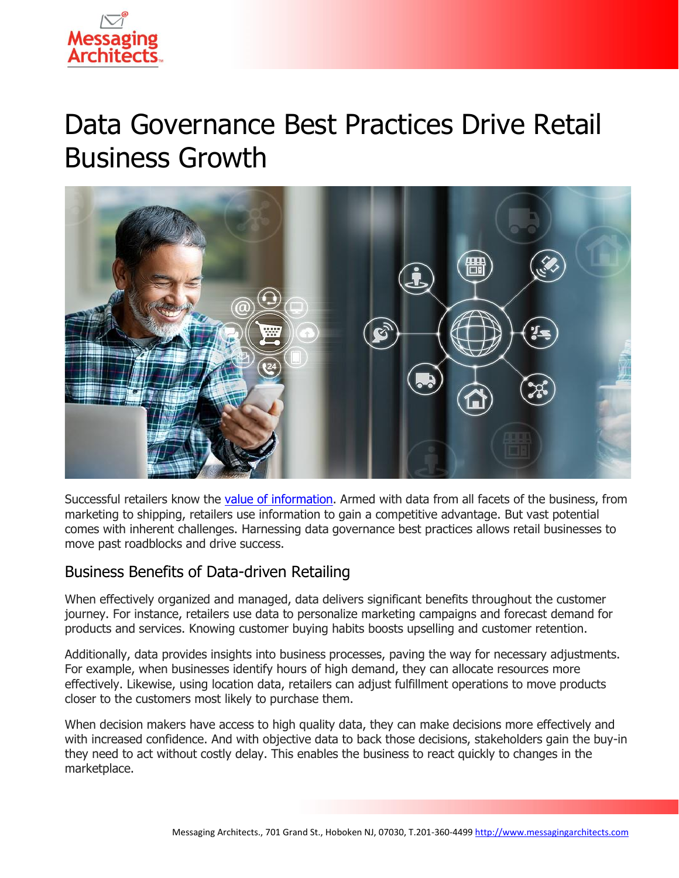

# Data Governance Best Practices Drive Retail Business Growth



Successful retailers know the [value of information.](https://messagingarchitects.com/data-valuation/) Armed with data from all facets of the business, from marketing to shipping, retailers use information to gain a competitive advantage. But vast potential comes with inherent challenges. Harnessing data governance best practices allows retail businesses to move past roadblocks and drive success.

## Business Benefits of Data-driven Retailing

When effectively organized and managed, data delivers significant benefits throughout the customer journey. For instance, retailers use data to personalize marketing campaigns and forecast demand for products and services. Knowing customer buying habits boosts upselling and customer retention.

Additionally, data provides insights into business processes, paving the way for necessary adjustments. For example, when businesses identify hours of high demand, they can allocate resources more effectively. Likewise, using location data, retailers can adjust fulfillment operations to move products closer to the customers most likely to purchase them.

When decision makers have access to high quality data, they can make decisions more effectively and with increased confidence. And with objective data to back those decisions, stakeholders gain the buy-in they need to act without costly delay. This enables the business to react quickly to changes in the marketplace.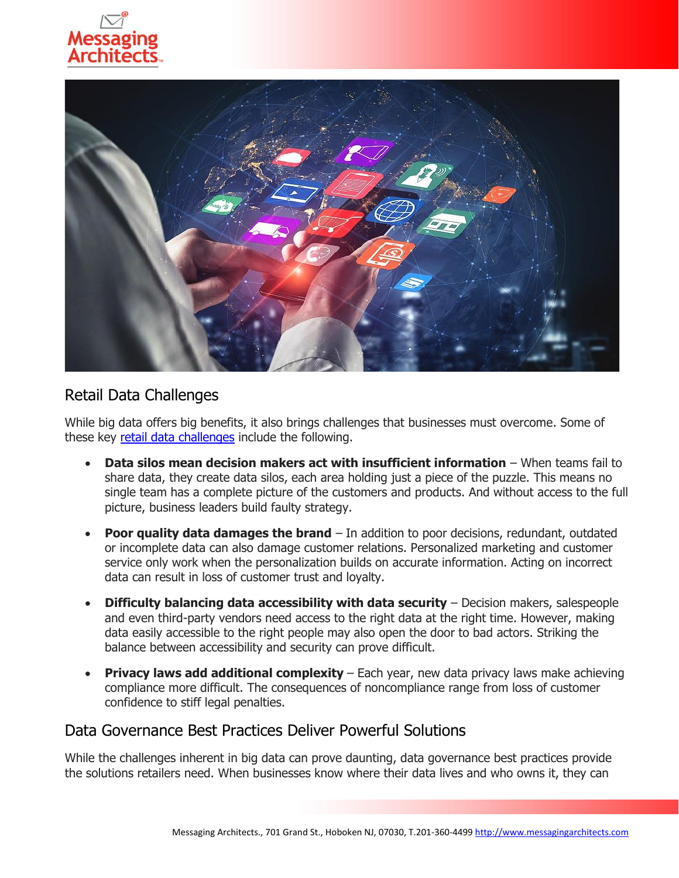



## Retail Data Challenges

While big data offers big benefits, it also brings challenges that businesses must overcome. Some of these key [retail data challenges](https://www.emazzanti.net/retail-data-security-challenges/) include the following.

- **Data silos mean decision makers act with insufficient information** When teams fail to share data, they create data silos, each area holding just a piece of the puzzle. This means no single team has a complete picture of the customers and products. And without access to the full picture, business leaders build faulty strategy.
- **Poor quality data damages the brand** In addition to poor decisions, redundant, outdated or incomplete data can also damage customer relations. Personalized marketing and customer service only work when the personalization builds on accurate information. Acting on incorrect data can result in loss of customer trust and loyalty.
- **Difficulty balancing data accessibility with data security** Decision makers, salespeople and even third-party vendors need access to the right data at the right time. However, making data easily accessible to the right people may also open the door to bad actors. Striking the balance between accessibility and security can prove difficult.
- **Privacy laws add additional complexity** Each year, new data privacy laws make achieving compliance more difficult. The consequences of noncompliance range from loss of customer confidence to stiff legal penalties.

### Data Governance Best Practices Deliver Powerful Solutions

While the challenges inherent in big data can prove daunting, data governance best practices provide the solutions retailers need. When businesses know where their data lives and who owns it, they can